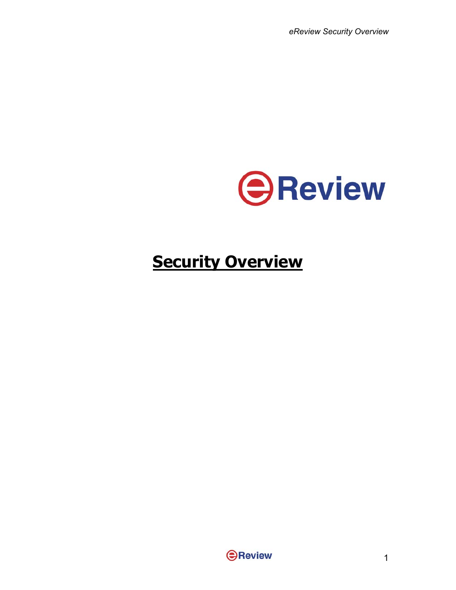*eReview Security Overview*



# **Security Overview**

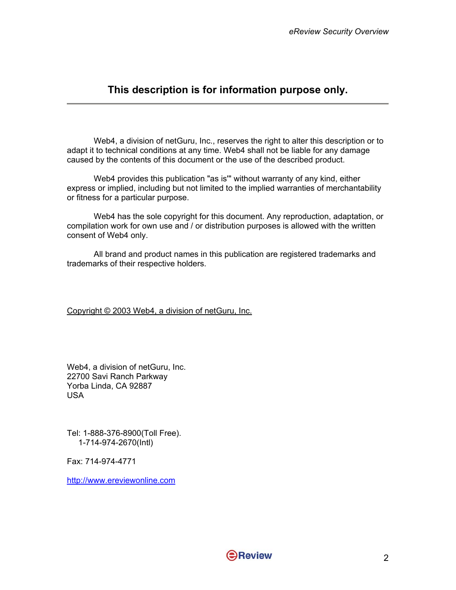## **This description is for information purpose only.**

Web4, a division of netGuru, Inc., reserves the right to alter this description or to adapt it to technical conditions at any time. Web4 shall not be liable for any damage caused by the contents of this document or the use of the described product.

Web4 provides this publication "as is'" without warranty of any kind, either express or implied, including but not limited to the implied warranties of merchantability or fitness for a particular purpose.

Web4 has the sole copyright for this document. Any reproduction, adaptation, or compilation work for own use and / or distribution purposes is allowed with the written consent of Web4 only.

All brand and product names in this publication are registered trademarks and trademarks of their respective holders.

Copyright © 2003 Web4, a division of netGuru, Inc.

Web4, a division of netGuru, Inc. 22700 Savi Ranch Parkway Yorba Linda, CA 92887 USA

Tel: 1-888-376-8900(Toll Free). 1-714-974-2670(Intl)

Fax: 714-974-4771

[http://www.ereviewonline.com](http://www.ereviewonline.com/)

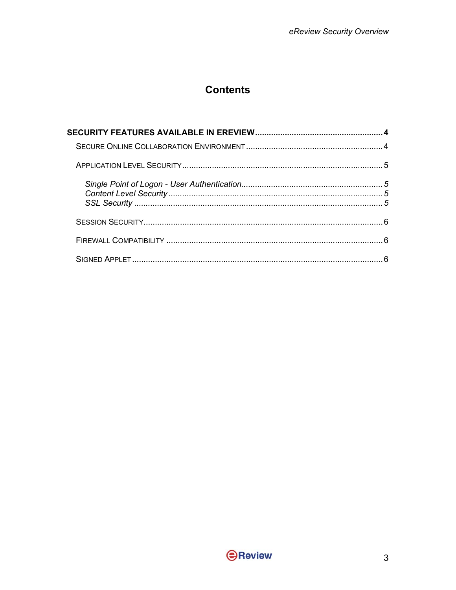## **Contents**

| ĥ |
|---|

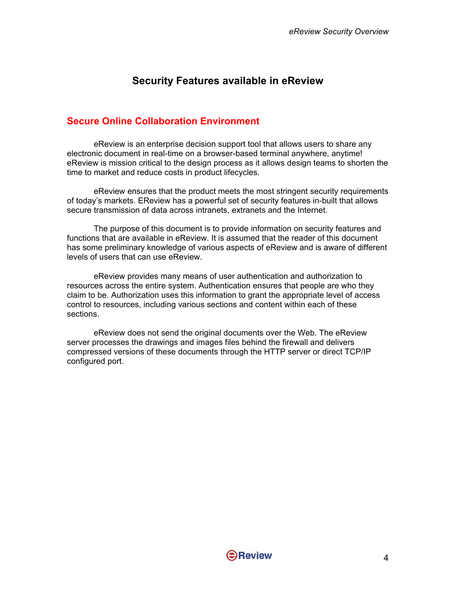## **Security Features available in eReview**

#### <span id="page-3-0"></span>**Secure Online Collaboration Environment**

eReview is an enterprise decision support tool that allows users to share any electronic document in real-time on a browser-based terminal anywhere, anytime! eReview is mission critical to the design process as it allows design teams to shorten the time to market and reduce costs in product lifecycles.

eReview ensures that the product meets the most stringent security requirements of today's markets. EReview has a powerful set of security features in-built that allows secure transmission of data across intranets, extranets and the Internet.

The purpose of this document is to provide information on security features and functions that are available in eReview. It is assumed that the reader of this document has some preliminary knowledge of various aspects of eReview and is aware of different levels of users that can use eReview.

eReview provides many means of user authentication and authorization to resources across the entire system. Authentication ensures that people are who they claim to be. Authorization uses this information to grant the appropriate level of access control to resources, including various sections and content within each of these sections.

eReview does not send the original documents over the Web. The eReview server processes the drawings and images files behind the firewall and delivers compressed versions of these documents through the HTTP server or direct TCP/IP configured port.

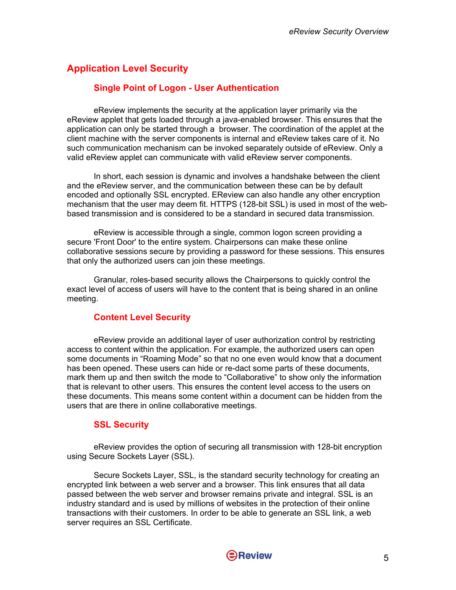## <span id="page-4-0"></span>**Application Level Security**

#### **Single Point of Logon - User Authentication**

eReview implements the security at the application layer primarily via the eReview applet that gets loaded through a java-enabled browser. This ensures that the application can only be started through a browser. The coordination of the applet at the client machine with the server components is internal and eReview takes care of it. No such communication mechanism can be invoked separately outside of eReview. Only a valid eReview applet can communicate with valid eReview server components.

In short, each session is dynamic and involves a handshake between the client and the eReview server, and the communication between these can be by default encoded and optionally SSL encrypted. EReview can also handle any other encryption mechanism that the user may deem fit. HTTPS (128-bit SSL) is used in most of the webbased transmission and is considered to be a standard in secured data transmission.

eReview is accessible through a single, common logon screen providing a secure 'Front Door' to the entire system. Chairpersons can make these online collaborative sessions secure by providing a password for these sessions. This ensures that only the authorized users can join these meetings.

Granular, roles-based security allows the Chairpersons to quickly control the exact level of access of users will have to the content that is being shared in an online meeting.

#### **Content Level Security**

eReview provide an additional layer of user authorization control by restricting access to content within the application. For example, the authorized users can open some documents in "Roaming Mode" so that no one even would know that a document has been opened. These users can hide or re-dact some parts of these documents, mark them up and then switch the mode to "Collaborative" to show only the information that is relevant to other users. This ensures the content level access to the users on these documents. This means some content within a document can be hidden from the users that are there in online collaborative meetings.

#### **SSL Security**

eReview provides the option of securing all transmission with 128-bit encryption using Secure Sockets Layer (SSL).

Secure Sockets Layer, SSL, is the standard security technology for creating an encrypted link between a web server and a browser. This link ensures that all data passed between the web server and browser remains private and integral. SSL is an industry standard and is used by millions of websites in the protection of their online transactions with their customers. In order to be able to generate an SSL link, a web server requires an SSL Certificate.

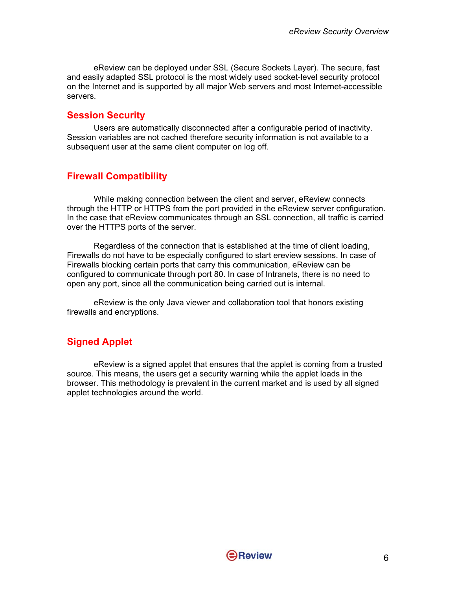<span id="page-5-0"></span>eReview can be deployed under SSL (Secure Sockets Layer). The secure, fast and easily adapted SSL protocol is the most widely used socket-level security protocol on the Internet and is supported by all major Web servers and most Internet-accessible servers.

#### **Session Security**

Users are automatically disconnected after a configurable period of inactivity. Session variables are not cached therefore security information is not available to a subsequent user at the same client computer on log off.

#### **Firewall Compatibility**

While making connection between the client and server, eReview connects through the HTTP or HTTPS from the port provided in the eReview server configuration. In the case that eReview communicates through an SSL connection, all traffic is carried over the HTTPS ports of the server.

Regardless of the connection that is established at the time of client loading, Firewalls do not have to be especially configured to start ereview sessions. In case of Firewalls blocking certain ports that carry this communication, eReview can be configured to communicate through port 80. In case of Intranets, there is no need to open any port, since all the communication being carried out is internal.

eReview is the only Java viewer and collaboration tool that honors existing firewalls and encryptions.

#### **Signed Applet**

eReview is a signed applet that ensures that the applet is coming from a trusted source. This means, the users get a security warning while the applet loads in the browser. This methodology is prevalent in the current market and is used by all signed applet technologies around the world.